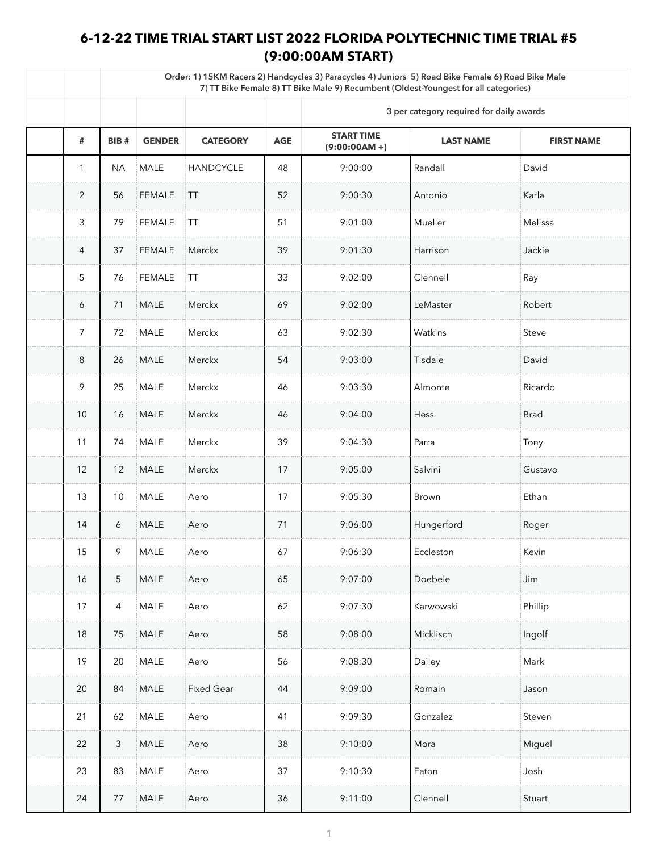## **6-12-22 TIME TRIAL START LIST 2022 FLORIDA POLYTECHNIC TIME TRIAL #5 (9:00:00AM START)**

|                | Order: 1) 15KM Racers 2) Handcycles 3) Paracycles 4) Juniors 5) Road Bike Female 6) Road Bike Male<br>7) TT Bike Female 8) TT Bike Male 9) Recumbent (Oldest-Youngest for all categories) |               |                   |            |                                       |                                          |                   |  |  |  |
|----------------|-------------------------------------------------------------------------------------------------------------------------------------------------------------------------------------------|---------------|-------------------|------------|---------------------------------------|------------------------------------------|-------------------|--|--|--|
|                |                                                                                                                                                                                           |               |                   |            |                                       | 3 per category required for daily awards |                   |  |  |  |
| #              | <b>BIB#</b>                                                                                                                                                                               | <b>GENDER</b> | <b>CATEGORY</b>   | <b>AGE</b> | <b>START TIME</b><br>$(9:00:00AM + )$ | <b>LAST NAME</b>                         | <b>FIRST NAME</b> |  |  |  |
|                | <b>NA</b>                                                                                                                                                                                 | <b>MALE</b>   | <b>HANDCYCLE</b>  | 48         | 9:00:00                               | Randall                                  | David             |  |  |  |
| $\overline{2}$ | 56                                                                                                                                                                                        | <b>FEMALE</b> | $\top$            | 52         | 9:00:30                               | Antonio                                  | Karla             |  |  |  |
| 3              | 79                                                                                                                                                                                        | <b>FEMALE</b> | $\top$            | 51         | 9:01:00                               | Mueller                                  | Melissa           |  |  |  |
| $\overline{4}$ | 37                                                                                                                                                                                        | <b>FEMALE</b> | Merckx            | 39         | 9:01:30                               | Harrison                                 | Jackie            |  |  |  |
| 5              | 76                                                                                                                                                                                        | <b>FEMALE</b> | $\top$            | 33         | 9:02:00                               | Clennell                                 | Ray               |  |  |  |
| 6              | 71                                                                                                                                                                                        | <b>MALE</b>   | Merckx            | 69         | 9:02:00                               | LeMaster                                 | Robert            |  |  |  |
| $\overline{7}$ | 72                                                                                                                                                                                        | <b>MALE</b>   | Merckx            | 63         | 9:02:30                               | <b>Watkins</b>                           | <b>Steve</b>      |  |  |  |
| 8              | 26                                                                                                                                                                                        | MALE          | Merckx            | 54         | 9:03:00                               | Tisdale                                  | David             |  |  |  |
| 9              | 25                                                                                                                                                                                        | <b>MALE</b>   | Merckx            | 46         | 9:03:30                               | Almonte                                  | Ricardo           |  |  |  |
| 10             | 16                                                                                                                                                                                        | <b>MALE</b>   | Merckx            | 46         | 9:04:00                               | Hess                                     | <b>Brad</b>       |  |  |  |
| 11             | 74                                                                                                                                                                                        | <b>MALE</b>   | Merckx            | 39         | 9:04:30                               | l Parra                                  | Tony              |  |  |  |
| 12             | 12                                                                                                                                                                                        | <b>MALE</b>   | Merckx            | 17         | 9:05:00                               | Salvini                                  | Gustavo           |  |  |  |
| 13             | 10                                                                                                                                                                                        | MALE          | Aero              | 17         | 9:05:30                               | Brown                                    | Ethan             |  |  |  |
| 14             | 6                                                                                                                                                                                         | <b>MALE</b>   | Aero              | 71         | 9:06:00                               | Hungerford                               | Roger             |  |  |  |
| 15             | 9                                                                                                                                                                                         | <b>MALE</b>   | Aero              | 67         | 9:06:30                               | Eccleston                                | Kevin             |  |  |  |
| 16             | 5 <sup>5</sup>                                                                                                                                                                            | <b>MALE</b>   | Aero              | 65         | 9:07:00                               | Doebele                                  | Jim               |  |  |  |
| 17             | $\overline{4}$                                                                                                                                                                            | <b>MALE</b>   | Aero              | 62         | 9:07:30                               | Karwowski                                | Phillip           |  |  |  |
| 18             | 75                                                                                                                                                                                        | MALE          | Aero              | 58         | 9:08:00                               | Micklisch                                | Ingolf            |  |  |  |
| 19             | 20                                                                                                                                                                                        | MALE          | Aero              | 56         | 9:08:30                               | Dailey                                   | Mark              |  |  |  |
| 20             | 84                                                                                                                                                                                        | <b>MALE</b>   | <b>Fixed Gear</b> | 44         | 9:09:00                               | Romain                                   | Jason             |  |  |  |
| 21             | 62                                                                                                                                                                                        | <b>MALE</b>   | Aero              | 41         | 9:09:30                               | Gonzalez                                 | Steven            |  |  |  |
| 22             | $\mathcal{S}$                                                                                                                                                                             | <b>MALE</b>   | Aero              | 38         | 9:10:00                               | Mora                                     | Miguel            |  |  |  |
| 23             | 83                                                                                                                                                                                        | <b>MALE</b>   | Aero              | 37         | 9:10:30                               | Eaton                                    | Josh              |  |  |  |
| 24             | 77                                                                                                                                                                                        | <b>MALE</b>   | Aero              | 36         | 9:11:00                               | Clennell                                 | Stuart            |  |  |  |